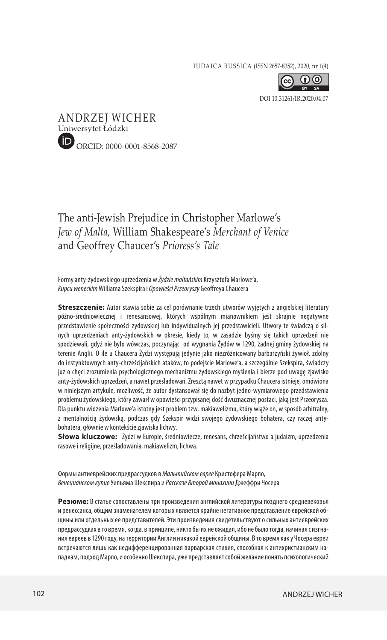IUDAICA RUSSICA (ISSN 2657-8352), 2020, nr 1(4)



[DOI 10.31261/IR.2020.04.07](https://doi.org/10.31261/IR.2020.04.07)



## The anti-Jewish Prejudice in Christopher Marlowe's *Jew of Malta,* William Shakespeare's *Merchant of Venice*  and Geoffrey Chaucer's *Prioress's Tale*

Formy anty-żydowskiego uprzedzenia w *Żydzie maltańskim* Krzysztofa Marlowe'a, *Kupcu weneckim* Williama Szekspira i *Opowieści Przeoryszy* Geoffreya Chaucera

**Streszczenie:** Autor stawia sobie za cel porównanie trzech utworów wyjętych z angielskiej literatury późno-średniowiecznej i renesansowej, których wspólnym mianownikiem jest skrajnie negatywne przedstawienie społeczności żydowskiej lub indywidualnych jej przedstawicieli. Utwory te świadczą o silnych uprzedzeniach anty-żydowskich w okresie, kiedy to, w zasadzie byśmy się takich uprzedzeń nie spodziewali, gdyż nie było wówczas, poczynając od wygnania Żydów w 1290, żadnej gminy żydowskiej na terenie Anglii. O ile u Chaucera Żydzi występują jedynie jako niezróżnicowany barbarzyński żywioł, zdolny do instynktownych anty-chrześcijańskich ataków, to podejście Marlowe'a, a szczególnie Szekspira, świadczy już o chęci zrozumienia psychologicznego mechanizmu żydowskiego myślenia i bierze pod uwagę zjawisko anty-żydowskich uprzedzeń, a nawet prześladowań. Zresztą nawet w przypadku Chaucera istnieje, omówiona w niniejszym artykule, możliwość, że autor dystansował się do nazbyt jedno-wymiarowego przedstawienia problemu żydowskiego, który zawarł w opowieści przypisanej dość dwuznacznej postaci, jaką jest Przeorysza. Dla punktu widzenia Marlowe'a istotny jest problem tzw. makiawelizmu, który wiąże on, w sposób arbitralny, z mentalnością żydowską, podczas gdy Szekspir widzi swojego żydowskiego bohatera, czy raczej antybohatera, głównie w kontekście zjawiska lichwy.

**Słowa kluczowe:** Żydzi w Europie, średniowiecze, renesans, chrześcijaństwo a judaizm, uprzedzenia rasowe i religijne, prześladowania, makiawelizm, lichwa.

Формы антиеврейских предрассудков в *Мальтийском еврее* Кристофера Марло, *Венецианском купце* Уильяма Шекспира и *Рассказе Второй монахини* Джеффри Чосера

**Резюме:** В статье сопоставлены три произведения английской литературы позднего средневековья и ренессанса, общим знаменателем которых является крайне негативное представление еврейской общины или отдельных ее представителей. Эти произведения свидетельствуют о сильных антиеврейских предрассудках в то время, когда, в принципе, никто бы их не ожидал, ибо не было тогда, начиная с изгнания евреев в 1290 году, на территории Англии никакой еврейской общины. В то время как у Чосера евреи встречаются лишь как недифференцированная варварская стихия, способная к антихристианским нападкам, подход Марло, и особенно Шекспира, уже представляет собой желание понять психологический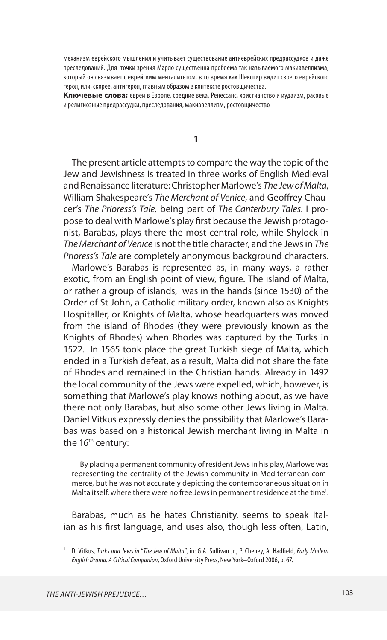механизм еврейского мышления и учитывает существование антиеврейских предрассудков и даже преследований. Для точки зрения Марло существенна проблема так называемого макиавеллизма, который он связывает с еврейским менталитетом, в то время как Шекспир видит своего еврейского героя, или, скорее, антигероя, главным образом в контексте ростовщичества.

**Ключевые слова:** евреи в Европе, средние века, Ренессанс, христианство и иудаизм, расовые и религиозные предрассудки, преследования, макиавеллизм, ростовщичество

**1**

The present article attempts to compare the way the topic of the Jew and Jewishness is treated in three works of English Medieval and Renaissance literature: Christopher Marlowe's *The Jew of Malta*, William Shakespeare's *The Merchant of Venice*, and Geoffrey Chaucer's *The Prioress's Tale,* being part of *The Canterbury Tales*. I propose to deal with Marlowe's play first because the Jewish protagonist, Barabas, plays there the most central role, while Shylock in *The Merchant of Venice* is not the title character, and the Jews in *The Prioress's Tale* are completely anonymous background characters.

Marlowe's Barabas is represented as, in many ways, a rather exotic, from an English point of view, figure. The island of Malta, or rather a group of islands, was in the hands (since 1530) of the Order of St John, a Catholic military order, known also as Knights Hospitaller, or Knights of Malta, whose headquarters was moved from the island of Rhodes (they were previously known as the Knights of Rhodes) when Rhodes was captured by the Turks in 1522. In 1565 took place the great Turkish siege of Malta, which ended in a Turkish defeat, as a result, Malta did not share the fate of Rhodes and remained in the Christian hands. Already in 1492 the local community of the Jews were expelled, which, however, is something that Marlowe's play knows nothing about, as we have there not only Barabas, but also some other Jews living in Malta. Daniel Vitkus expressly denies the possibility that Marlowe's Barabas was based on a historical Jewish merchant living in Malta in the 16<sup>th</sup> century:

By placing a permanent community of resident Jews in his play, Marlowe was representing the centrality of the Jewish community in Mediterranean commerce, but he was not accurately depicting the contemporaneous situation in Malta itself, where there were no free Jews in permanent residence at the time<sup>1</sup>.

Barabas, much as he hates Christianity, seems to speak Italian as his first language, and uses also, though less often, Latin,

<sup>1</sup> D. Vitkus, *Turks and Jews in* "*The Jew of Malta*", in: G.A. Sullivan Jr., P. Cheney, A. Hadfield, *Early Modern English Drama. A Critical Companion*, Oxford University Press, New York–Oxford 2006, p. 67.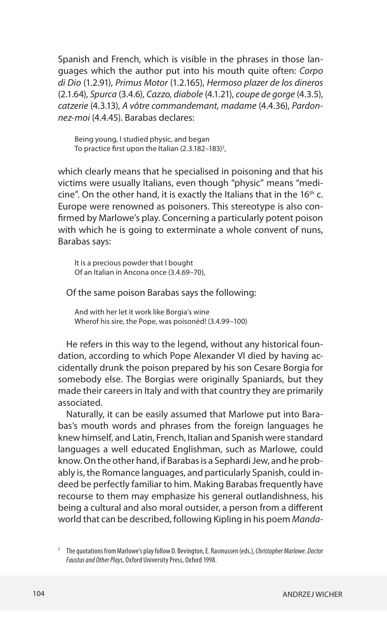Spanish and French, which is visible in the phrases in those languages which the author put into his mouth quite often: *Corpo di Dio* (1.2.91), *Primus Motor* (1.2.165), *Hermoso plazer de los dineros* (2.1.64), *Spurca* (3.4.6), *Cazzo, diabole* (4.1.21), *coupe de gorge* (4.3.5), *catzerie* (4.3.13), *A vôtre commandemant, madame* (4.4.36), *Pardonnez-moi* (4.4.45). Barabas declares:

Being young, I studied physic, and began To practice first upon the Italian (2.3.182–183) $^{\rm 2}$ ,

which clearly means that he specialised in poisoning and that his victims were usually Italians, even though "physic" means "medicine". On the other hand, it is exactly the Italians that in the 16<sup>th</sup> c. Europe were renowned as poisoners. This stereotype is also confirmed by Marlowe's play. Concerning a particularly potent poison with which he is going to exterminate a whole convent of nuns, Barabas says:

It is a precious powder that I bought Of an Italian in Ancona once (3.4.69–70),

Of the same poison Barabas says the following:

And with her let it work like Borgia's wine Wherof his sire, the Pope, was poisonèd! (3.4.99–100)

He refers in this way to the legend, without any historical foundation, according to which Pope Alexander VI died by having accidentally drunk the poison prepared by his son Cesare Borgia for somebody else. The Borgias were originally Spaniards, but they made their careers in Italy and with that country they are primarily associated.

Naturally, it can be easily assumed that Marlowe put into Barabas's mouth words and phrases from the foreign languages he knew himself, and Latin, French, Italian and Spanish were standard languages a well educated Englishman, such as Marlowe, could know. On the other hand, if Barabas is a Sephardi Jew, and he probably is, the Romance languages, and particularly Spanish, could indeed be perfectly familiar to him. Making Barabas frequently have recourse to them may emphasize his general outlandishness, his being a cultural and also moral outsider, a person from a different world that can be described, following Kipling in his poem *Manda-*

<sup>2</sup> The quotations from Marlowe's play follow D. Bevington, E. Rasmussen (eds.), *Christopher Marlowe. Doctor Faustus and Other Plays*, Oxford University Press, Oxford 1998.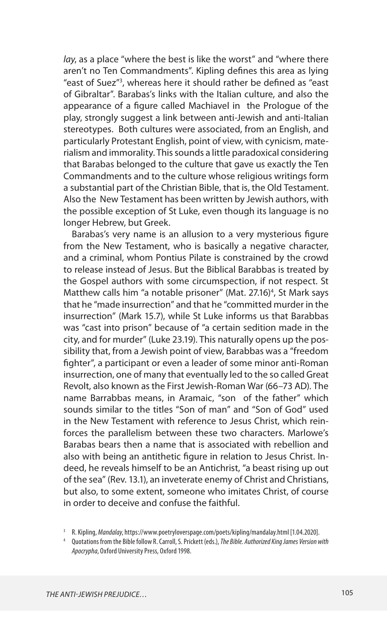*lay*, as a place "where the best is like the worst" and "where there aren't no Ten Commandments". Kipling defines this area as lying "east of Suez"3 , whereas here it should rather be defined as "east of Gibraltar". Barabas's links with the Italian culture, and also the appearance of a figure called Machiavel in the Prologue of the play, strongly suggest a link between anti-Jewish and anti-Italian stereotypes. Both cultures were associated, from an English, and particularly Protestant English, point of view, with cynicism, materialism and immorality. This sounds a little paradoxical considering that Barabas belonged to the culture that gave us exactly the Ten Commandments and to the culture whose religious writings form a substantial part of the Christian Bible, that is, the Old Testament. Also the New Testament has been written by Jewish authors, with the possible exception of St Luke, even though its language is no longer Hebrew, but Greek.

Barabas's very name is an allusion to a very mysterious figure from the New Testament, who is basically a negative character, and a criminal, whom Pontius Pilate is constrained by the crowd to release instead of Jesus. But the Biblical Barabbas is treated by the Gospel authors with some circumspection, if not respect. St Matthew calls him "a notable prisoner" (Mat. 27.16)<sup>4</sup>, St Mark says that he "made insurrection" and that he "committed murder in the insurrection" (Mark 15.7), while St Luke informs us that Barabbas was "cast into prison" because of "a certain sedition made in the city, and for murder" (Luke 23.19). This naturally opens up the possibility that, from a Jewish point of view, Barabbas was a "freedom fighter", a participant or even a leader of some minor anti-Roman insurrection, one of many that eventually led to the so called Great Revolt, also known as the First Jewish-Roman War (66–73 AD). The name Barrabbas means, in Aramaic, "son of the father" which sounds similar to the titles "Son of man" and "Son of God" used in the New Testament with reference to Jesus Christ, which reinforces the parallelism between these two characters. Marlowe's Barabas bears then a name that is associated with rebellion and also with being an antithetic figure in relation to Jesus Christ. Indeed, he reveals himself to be an Antichrist, "a beast rising up out of the sea" (Rev. 13.1), an inveterate enemy of Christ and Christians, but also, to some extent, someone who imitates Christ, of course in order to deceive and confuse the faithful.

<sup>&</sup>lt;sup>3</sup> R. Kipling, *Mandalay*, https://www.poetryloverspage.com/poets/kipling/mandalay.html [1.04.2020].

<sup>4</sup> Quotations from the Bible follow R. Carroll, S. Prickett (eds.), *The Bible. Authorized King James Version with Apocrypha*, Oxford University Press, Oxford 1998.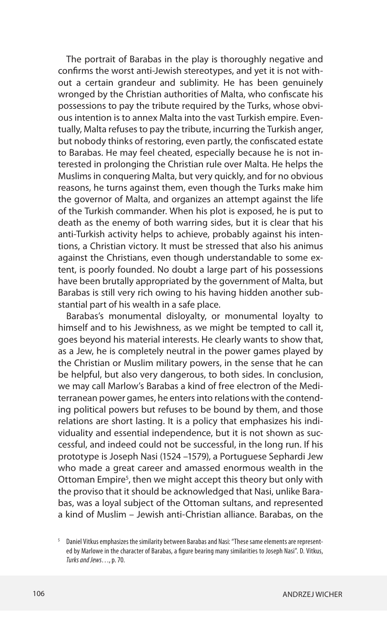The portrait of Barabas in the play is thoroughly negative and confirms the worst anti-Jewish stereotypes, and yet it is not without a certain grandeur and sublimity. He has been genuinely wronged by the Christian authorities of Malta, who confiscate his possessions to pay the tribute required by the Turks, whose obvious intention is to annex Malta into the vast Turkish empire. Eventually, Malta refuses to pay the tribute, incurring the Turkish anger, but nobody thinks of restoring, even partly, the confiscated estate to Barabas. He may feel cheated, especially because he is not interested in prolonging the Christian rule over Malta. He helps the Muslims in conquering Malta, but very quickly, and for no obvious reasons, he turns against them, even though the Turks make him the governor of Malta, and organizes an attempt against the life of the Turkish commander. When his plot is exposed, he is put to death as the enemy of both warring sides, but it is clear that his anti-Turkish activity helps to achieve, probably against his intentions, a Christian victory. It must be stressed that also his animus against the Christians, even though understandable to some extent, is poorly founded. No doubt a large part of his possessions have been brutally appropriated by the government of Malta, but Barabas is still very rich owing to his having hidden another substantial part of his wealth in a safe place.

Barabas's monumental disloyalty, or monumental loyalty to himself and to his Jewishness, as we might be tempted to call it, goes beyond his material interests. He clearly wants to show that, as a Jew, he is completely neutral in the power games played by the Christian or Muslim military powers, in the sense that he can be helpful, but also very dangerous, to both sides. In conclusion, we may call Marlow's Barabas a kind of free electron of the Mediterranean power games, he enters into relations with the contending political powers but refuses to be bound by them, and those relations are short lasting. It is a policy that emphasizes his individuality and essential independence, but it is not shown as successful, and indeed could not be successful, in the long run. If his prototype is Joseph Nasi (1524 –1579), a Portuguese Sephardi Jew who made a great career and amassed enormous wealth in the Ottoman Empire<sup>5</sup>, then we might accept this theory but only with the proviso that it should be acknowledged that Nasi, unlike Barabas, was a loyal subject of the Ottoman sultans, and represented a kind of Muslim – Jewish anti-Christian alliance. Barabas, on the

<sup>5</sup> Daniel Vitkus emphasizes the similarity between Barabas and Nasi: "These same elements are represented by Marlowe in the character of Barabas, a figure bearing many similarities to Joseph Nasi". D. Vitkus, *Turks and Jews*…, p. 70.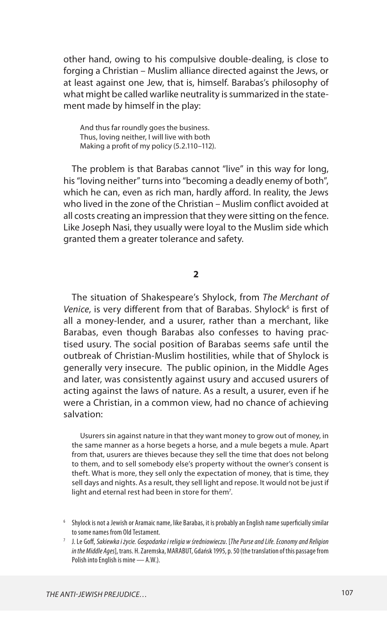other hand, owing to his compulsive double-dealing, is close to forging a Christian – Muslim alliance directed against the Jews, or at least against one Jew, that is, himself. Barabas's philosophy of what might be called warlike neutrality is summarized in the statement made by himself in the play:

And thus far roundly goes the business. Thus, loving neither, I will live with both Making a profit of my policy (5.2.110–112).

The problem is that Barabas cannot "live" in this way for long, his "loving neither" turns into "becoming a deadly enemy of both", which he can, even as rich man, hardly afford. In reality, the Jews who lived in the zone of the Christian – Muslim conflict avoided at all costs creating an impression that they were sitting on the fence. Like Joseph Nasi, they usually were loyal to the Muslim side which granted them a greater tolerance and safety.

**2**

The situation of Shakespeare's Shylock, from *The Merchant of*  Venice, is very different from that of Barabas. Shylock<sup>6</sup> is first of all a money-lender, and a usurer, rather than a merchant, like Barabas, even though Barabas also confesses to having practised usury. The social position of Barabas seems safe until the outbreak of Christian-Muslim hostilities, while that of Shylock is generally very insecure. The public opinion, in the Middle Ages and later, was consistently against usury and accused usurers of acting against the laws of nature. As a result, a usurer, even if he were a Christian, in a common view, had no chance of achieving salvation:

Usurers sin against nature in that they want money to grow out of money, in the same manner as a horse begets a horse, and a mule begets a mule. Apart from that, usurers are thieves because they sell the time that does not belong to them, and to sell somebody else's property without the owner's consent is theft. What is more, they sell only the expectation of money, that is time, they sell days and nights. As a result, they sell light and repose. It would not be just if light and eternal rest had been in store for them<sup>7</sup>.

<sup>6</sup> Shylock is not a Jewish or Aramaic name, like Barabas, it is probably an English name superficially similar to some names from Old Testament.

<sup>7</sup> J. Le Goff, *Sakiewka i życie. Gospodarka i religia w średniowieczu*. [*The Purse and Life. Economy and Religion in the Middle Ages*], trans. H. Zaremska, MARABUT, Gdańsk 1995, p. 50 (the translation of this passage from Polish into English is mine — A.W.).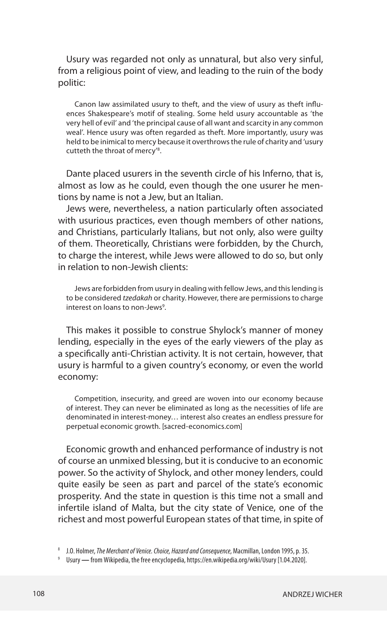Usury was regarded not only as unnatural, but also very sinful, from a religious point of view, and leading to the ruin of the body politic:

Canon law assimilated usury to theft, and the view of usury as theft influences Shakespeare's motif of stealing. Some held usury accountable as 'the very hell of evil' and 'the principal cause of all want and scarcity in any common weal'. Hence usury was often regarded as theft. More importantly, usury was held to be inimical to mercy because it overthrows the rule of charity and 'usury cutteth the throat of mercy'<sup>8</sup>.

Dante placed usurers in the seventh circle of his Inferno, that is, almost as low as he could, even though the one usurer he mentions by name is not a Jew, but an Italian.

Jews were, nevertheless, a nation particularly often associated with usurious practices, even though members of other nations, and Christians, particularly Italians, but not only, also were guilty of them. Theoretically, Christians were forbidden, by the Church, to charge the interest, while Jews were allowed to do so, but only in relation to non-Jewish clients:

Jews are forbidden from usury in dealing with fellow Jews, and this lending is to be considered *tzedakah* or charity. However, there are permissions to charge interest on loans to non-Jews<sup>9</sup>.

This makes it possible to construe Shylock's manner of money lending, especially in the eyes of the early viewers of the play as a specifically anti-Christian activity. It is not certain, however, that usury is harmful to a given country's economy, or even the world economy:

Competition, insecurity, and greed are woven into our economy because of interest. They can never be eliminated as long as the necessities of life are denominated in interest-money… interest also creates an endless pressure for perpetual economic growth. [sacred-economics.com]

Economic growth and enhanced performance of industry is not of course an unmixed blessing, but it is conducive to an economic power. So the activity of Shylock, and other money lenders, could quite easily be seen as part and parcel of the state's economic prosperity. And the state in question is this time not a small and infertile island of Malta, but the city state of Venice, one of the richest and most powerful European states of that time, in spite of

<sup>8</sup> J.O. Holmer, *The Merchant of Venice. Choice, Hazard and Consequence*, Macmillan, London 1995, p. 35.

<sup>9</sup> Usury **—** from Wikipedia, the free encyclopedia, https://en.wikipedia.org/wiki/Usury [1.04.2020].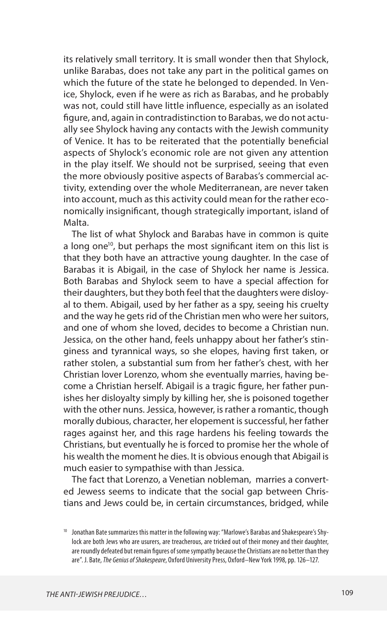its relatively small territory. It is small wonder then that Shylock, unlike Barabas, does not take any part in the political games on which the future of the state he belonged to depended. In Venice, Shylock, even if he were as rich as Barabas, and he probably was not, could still have little influence, especially as an isolated figure, and, again in contradistinction to Barabas, we do not actually see Shylock having any contacts with the Jewish community of Venice. It has to be reiterated that the potentially beneficial aspects of Shylock's economic role are not given any attention in the play itself. We should not be surprised, seeing that even the more obviously positive aspects of Barabas's commercial activity, extending over the whole Mediterranean, are never taken into account, much as this activity could mean for the rather economically insignificant, though strategically important, island of Malta.

The list of what Shylock and Barabas have in common is quite a long one<sup>10</sup>, but perhaps the most significant item on this list is that they both have an attractive young daughter. In the case of Barabas it is Abigail, in the case of Shylock her name is Jessica. Both Barabas and Shylock seem to have a special affection for their daughters, but they both feel that the daughters were disloyal to them. Abigail, used by her father as a spy, seeing his cruelty and the way he gets rid of the Christian men who were her suitors, and one of whom she loved, decides to become a Christian nun. Jessica, on the other hand, feels unhappy about her father's stinginess and tyrannical ways, so she elopes, having first taken, or rather stolen, a substantial sum from her father's chest, with her Christian lover Lorenzo, whom she eventually marries, having become a Christian herself. Abigail is a tragic figure, her father punishes her disloyalty simply by killing her, she is poisoned together with the other nuns. Jessica, however, is rather a romantic, though morally dubious, character, her elopement is successful, her father rages against her, and this rage hardens his feeling towards the Christians, but eventually he is forced to promise her the whole of his wealth the moment he dies. It is obvious enough that Abigail is much easier to sympathise with than Jessica.

The fact that Lorenzo, a Venetian nobleman, marries a converted Jewess seems to indicate that the social gap between Christians and Jews could be, in certain circumstances, bridged, while

<sup>10</sup> Jonathan Bate summarizes this matter in the following way: "Marlowe's Barabas and Shakespeare's Shylock are both Jews who are usurers, are treacherous, are tricked out of their money and their daughter, are roundly defeated but remain figures of some sympathy because the Christians are no better than they are". J. Bate, *The Genius of Shakespeare*, Oxford University Press, Oxford–New York 1998, pp. 126–127.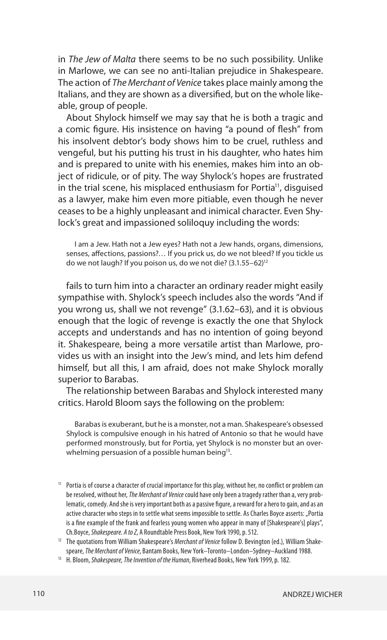in *The Jew of Malta* there seems to be no such possibility. Unlike in Marlowe, we can see no anti-Italian prejudice in Shakespeare. The action of *The Merchant of Venice* takes place mainly among the Italians, and they are shown as a diversified, but on the whole likeable, group of people.

About Shylock himself we may say that he is both a tragic and a comic figure. His insistence on having "a pound of flesh" from his insolvent debtor's body shows him to be cruel, ruthless and vengeful, but his putting his trust in his daughter, who hates him and is prepared to unite with his enemies, makes him into an object of ridicule, or of pity. The way Shylock's hopes are frustrated in the trial scene, his misplaced enthusiasm for Portia<sup>11</sup>, disquised as a lawyer, make him even more pitiable, even though he never ceases to be a highly unpleasant and inimical character. Even Shylock's great and impassioned soliloquy including the words:

I am a Jew. Hath not a Jew eyes? Hath not a Jew hands, organs, dimensions, senses, affections, passions?… If you prick us, do we not bleed? If you tickle us do we not laugh? If you poison us, do we not die? (3.1.55–62)12

fails to turn him into a character an ordinary reader might easily sympathise with. Shylock's speech includes also the words "And if you wrong us, shall we not revenge" (3.1.62–63), and it is obvious enough that the logic of revenge is exactly the one that Shylock accepts and understands and has no intention of going beyond it. Shakespeare, being a more versatile artist than Marlowe, provides us with an insight into the Jew's mind, and lets him defend himself, but all this, I am afraid, does not make Shylock morally superior to Barabas.

The relationship between Barabas and Shylock interested many critics. Harold Bloom says the following on the problem:

Barabas is exuberant, but he is a monster, not a man. Shakespeare's obsessed Shylock is compulsive enough in his hatred of Antonio so that he would have performed monstrously, but for Portia, yet Shylock is no monster but an overwhelming persuasion of a possible human being<sup>13</sup>.

<sup>&</sup>lt;sup>11</sup> Portia is of course a character of crucial importance for this play, without her, no conflict or problem can be resolved, without her, *The Merchant of Venice* could have only been a tragedy rather than a, very problematic, comedy. And she is very important both as a passive figure, a reward for a hero to gain, and as an active character who steps in to settle what seems impossible to settle. As Charles Boyce asserts: "Portia is a fine example of the frank and fearless young women who appear in many of [Shakespeare's] plays", Ch.Boyce, *Shakespeare. A to Z*, A Roundtable Press Book, New York 1990, p. 512.

<sup>12</sup> The quotations from William Shakespeare's *Merchant of Venice* follow D. Bevington (ed.), William Shakespeare, *The Merchant of Venice*, Bantam Books, New York–Toronto–London–Sydney–Auckland 1988. 13 H. Bloom, *Shakespeare, The Invention of the Human*, Riverhead Books, New York 1999, p. 182.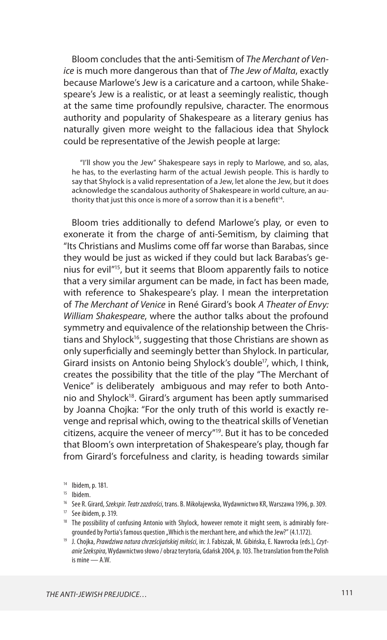Bloom concludes that the anti-Semitism of *The Merchant of Venice* is much more dangerous than that of *The Jew of Malta*, exactly because Marlowe's Jew is a caricature and a cartoon, while Shakespeare's Jew is a realistic, or at least a seemingly realistic, though at the same time profoundly repulsive, character. The enormous authority and popularity of Shakespeare as a literary genius has naturally given more weight to the fallacious idea that Shylock could be representative of the Jewish people at large:

"I'll show you the Jew" Shakespeare says in reply to Marlowe, and so, alas, he has, to the everlasting harm of the actual Jewish people. This is hardly to say that Shylock is a valid representation of a Jew, let alone the Jew, but it does acknowledge the scandalous authority of Shakespeare in world culture, an authority that just this once is more of a sorrow than it is a benefit<sup>14</sup>.

Bloom tries additionally to defend Marlowe's play, or even to exonerate it from the charge of anti-Semitism, by claiming that "Its Christians and Muslims come off far worse than Barabas, since they would be just as wicked if they could but lack Barabas's genius for evil"15, but it seems that Bloom apparently fails to notice that a very similar argument can be made, in fact has been made, with reference to Shakespeare's play. I mean the interpretation of *The Merchant of Venice* in René Girard's book *A Theater of Envy: William Shakespeare*, where the author talks about the profound symmetry and equivalence of the relationship between the Christians and Shylock<sup>16</sup>, suggesting that those Christians are shown as only superficially and seemingly better than Shylock. In particular, Girard insists on Antonio being Shylock's double<sup>17</sup>, which, I think, creates the possibility that the title of the play "The Merchant of Venice" is deliberately ambiguous and may refer to both Antonio and Shylock<sup>18</sup>. Girard's argument has been aptly summarised by Joanna Chojka: "For the only truth of this world is exactly revenge and reprisal which, owing to the theatrical skills of Venetian citizens, acquire the veneer of mercy"19. But it has to be conceded that Bloom's own interpretation of Shakespeare's play, though far from Girard's forcefulness and clarity, is heading towards similar

<sup>14</sup> Ibidem, p. 181.

<sup>&</sup>lt;sup>15</sup> Ibidem.

<sup>16</sup> See R. Girard, *Szekspir. Teatr zazdrości*, trans. B. Mikołajewska, Wydawnictwo KR, Warszawa 1996, p. 309.

<sup>17</sup> See ibidem, p. 319.

<sup>&</sup>lt;sup>18</sup> The possibility of confusing Antonio with Shylock, however remote it might seem, is admirably foregrounded by Portia's famous question "Which is the merchant here, and which the Jew?" (4.1.172).

<sup>19</sup> J. Chojka, *Prawdziwa natura chrześcijańskiej miłości*, in: J. Fabiszak, M. Gibińska, E. Nawrocka (eds.), *Czytanie Szekspira*, Wydawnictwo słowo / obraz terytoria, Gdańsk 2004, p. 103. The translation from the Polish is mine — A.W.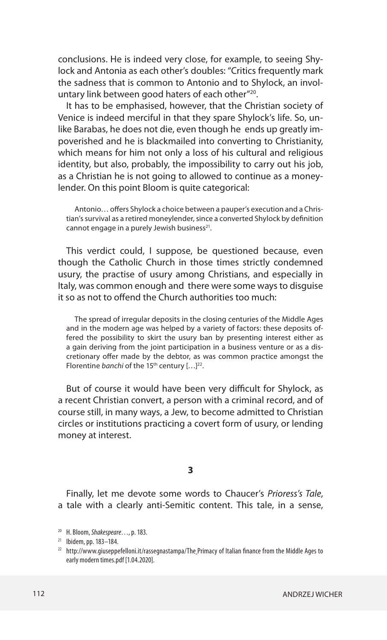conclusions. He is indeed very close, for example, to seeing Shylock and Antonia as each other's doubles: "Critics frequently mark the sadness that is common to Antonio and to Shylock, an involuntary link between good haters of each other"20.

It has to be emphasised, however, that the Christian society of Venice is indeed merciful in that they spare Shylock's life. So, unlike Barabas, he does not die, even though he ends up greatly impoverished and he is blackmailed into converting to Christianity, which means for him not only a loss of his cultural and religious identity, but also, probably, the impossibility to carry out his job, as a Christian he is not going to allowed to continue as a moneylender. On this point Bloom is quite categorical:

Antonio… offers Shylock a choice between a pauper's execution and a Christian's survival as a retired moneylender, since a converted Shylock by definition cannot engage in a purely Jewish business<sup>21</sup>.

This verdict could, I suppose, be questioned because, even though the Catholic Church in those times strictly condemned usury, the practise of usury among Christians, and especially in Italy, was common enough and there were some ways to disguise it so as not to offend the Church authorities too much:

The spread of irregular deposits in the closing centuries of the Middle Ages and in the modern age was helped by a variety of factors: these deposits offered the possibility to skirt the usury ban by presenting interest either as a gain deriving from the joint participation in a business venture or as a discretionary offer made by the debtor, as was common practice amongst the Florentine *banchi* of the 15<sup>th</sup> century [...]<sup>22</sup>.

But of course it would have been very difficult for Shylock, as a recent Christian convert, a person with a criminal record, and of course still, in many ways, a Jew, to become admitted to Christian circles or institutions practicing a covert form of usury, or lending money at interest.

## **3**

Finally, let me devote some words to Chaucer's *Prioress's Tale*, a tale with a clearly anti-Semitic content. This tale, in a sense,

<sup>20</sup> H. Bloom, *Shakespeare*…, p. 183.

<sup>21</sup> Ibidem, pp. 183–184.

 $22$  http://www.giuseppefelloni.it/rassegnastampa/The Primacy of Italian finance from the Middle Ages to early modern times.pdf [1.04.2020].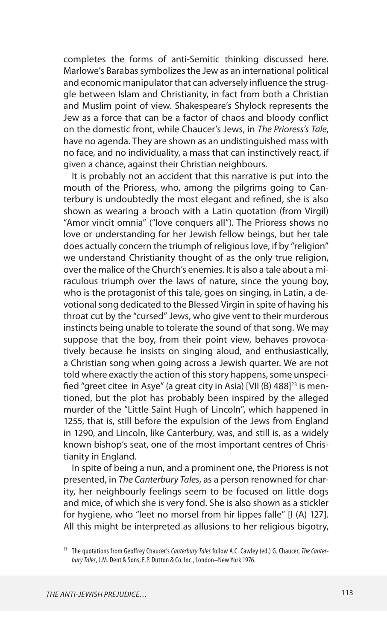completes the forms of anti-Semitic thinking discussed here. Marlowe's Barabas symbolizes the Jew as an international political and economic manipulator that can adversely influence the struggle between Islam and Christianity, in fact from both a Christian and Muslim point of view. Shakespeare's Shylock represents the Jew as a force that can be a factor of chaos and bloody conflict on the domestic front, while Chaucer's Jews, in *The Prioress's Tale*, have no agenda. They are shown as an undistinguished mass with no face, and no individuality, a mass that can instinctively react, if given a chance, against their Christian neighbours.

It is probably not an accident that this narrative is put into the mouth of the Prioress, who, among the pilgrims going to Canterbury is undoubtedly the most elegant and refined, she is also shown as wearing a brooch with a Latin quotation (from Virgil) "Amor vincit omnia" ("love conquers all"). The Prioress shows no love or understanding for her Jewish fellow beings, but her tale does actually concern the triumph of religious love, if by "religion" we understand Christianity thought of as the only true religion, over the malice of the Church's enemies. It is also a tale about a miraculous triumph over the laws of nature, since the young boy, who is the protagonist of this tale, goes on singing, in Latin, a devotional song dedicated to the Blessed Virgin in spite of having his throat cut by the "cursed" Jews, who give vent to their murderous instincts being unable to tolerate the sound of that song. We may suppose that the boy, from their point view, behaves provocatively because he insists on singing aloud, and enthusiastically, a Christian song when going across a Jewish quarter. We are not told where exactly the action of this story happens, some unspecified "greet citee in Asye" (a great city in Asia) [VII (B) 488]<sup>23</sup> is mentioned, but the plot has probably been inspired by the alleged murder of the "Little Saint Hugh of Lincoln", which happened in 1255, that is, still before the expulsion of the Jews from England in 1290, and Lincoln, like Canterbury, was, and still is, as a widely known bishop's seat, one of the most important centres of Christianity in England.

In spite of being a nun, and a prominent one, the Prioress is not presented, in *The Canterbury Tales*, as a person renowned for charity, her neighbourly feelings seem to be focused on little dogs and mice, of which she is very fond. She is also shown as a stickler for hygiene, who "leet no morsel from hir lippes falle" [I (A) 127]. All this might be interpreted as allusions to her religious bigotry,

<sup>23</sup> The quotations from Geoffrey Chaucer's *Canterbury Tales* follow A.C. Cawley (ed.) G. Chaucer, *The Canterbury Tales*, J.M. Dent & Sons, E.P. Dutton & Co. Inc., London–New York 1976.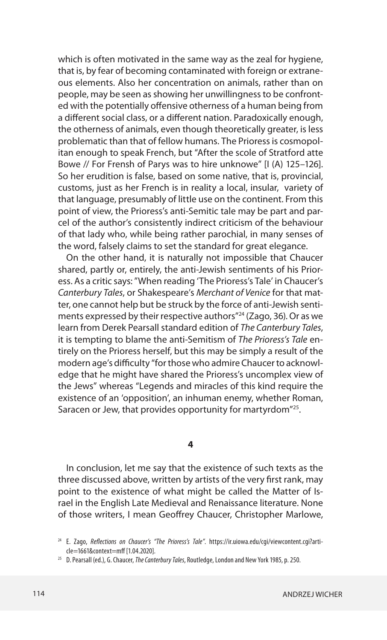which is often motivated in the same way as the zeal for hygiene, that is, by fear of becoming contaminated with foreign or extraneous elements. Also her concentration on animals, rather than on people, may be seen as showing her unwillingness to be confronted with the potentially offensive otherness of a human being from a different social class, or a different nation. Paradoxically enough, the otherness of animals, even though theoretically greater, is less problematic than that of fellow humans. The Prioress is cosmopolitan enough to speak French, but "After the scole of Stratford atte Bowe // For Frensh of Parys was to hire unknowe" [I (A) 125–126]. So her erudition is false, based on some native, that is, provincial, customs, just as her French is in reality a local, insular, variety of that language, presumably of little use on the continent. From this point of view, the Prioress's anti-Semitic tale may be part and parcel of the author's consistently indirect criticism of the behaviour of that lady who, while being rather parochial, in many senses of the word, falsely claims to set the standard for great elegance.

On the other hand, it is naturally not impossible that Chaucer shared, partly or, entirely, the anti-Jewish sentiments of his Prioress. As a critic says: "When reading 'The Prioress's Tale' in Chaucer's *Canterbury Tales*, or Shakespeare's *Merchant of Venice* for that matter, one cannot help but be struck by the force of anti-Jewish sentiments expressed by their respective authors<sup>"24</sup> (Zago, 36). Or as we learn from Derek Pearsall standard edition of *The Canterbury Tales*, it is tempting to blame the anti-Semitism of *The Prioress's Tale* entirely on the Prioress herself, but this may be simply a result of the modern age's difficulty "for those who admire Chaucer to acknowledge that he might have shared the Prioress's uncomplex view of the Jews" whereas "Legends and miracles of this kind require the existence of an 'opposition', an inhuman enemy, whether Roman, Saracen or Jew, that provides opportunity for martyrdom"<sup>25</sup>.

## **4**

In conclusion, let me say that the existence of such texts as the three discussed above, written by artists of the very first rank, may point to the existence of what might be called the Matter of Israel in the English Late Medieval and Renaissance literature. None of those writers, I mean Geoffrey Chaucer, Christopher Marlowe,

<sup>24</sup> E. Zago, *Reflections on Chaucer's "The Prioress's Tale"*. https://ir.uiowa.edu/cgi/viewcontent.cgi?article=1661&context=mff [1.04.2020].

<sup>25</sup> D. Pearsall (ed.), G. Chaucer, *The Canterbury Tales*, Routledge, London and New York 1985, p. 250.